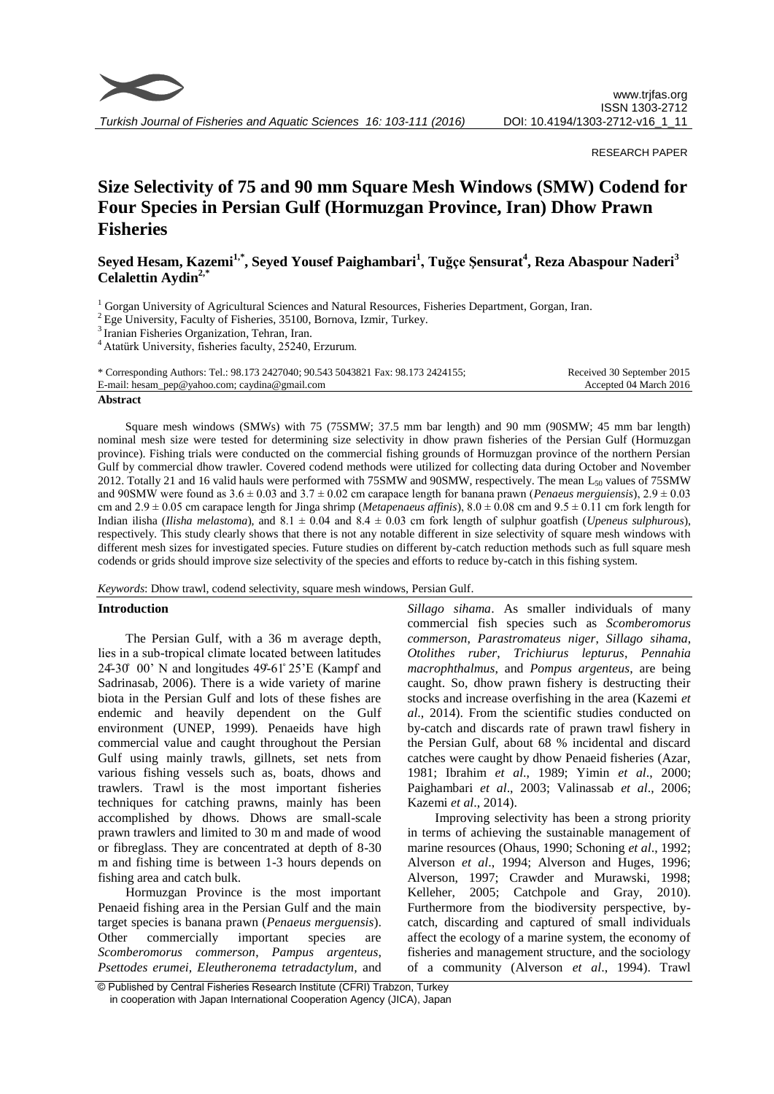

*Turkish Journal of Fisheries and Aquatic Sciences 16: 103-111 (2016)*

RESEARCH PAPER

# **Size Selectivity of 75 and 90 mm Square Mesh Windows (SMW) Codend for Four Species in Persian Gulf (Hormuzgan Province, Iran) Dhow Prawn Fisheries**

## **Seyed Hesam, Kazemi1,\* , Seyed Yousef Paighambari<sup>1</sup> , Tuğçe Şensurat<sup>4</sup> , Reza Abaspour Naderi<sup>3</sup> Celalettin Aydin2,\***

<sup>1</sup> Gorgan University of Agricultural Sciences and Natural Resources, Fisheries Department, Gorgan, Iran.

<sup>2</sup> Ege University, Faculty of Fisheries, 35100, Bornova, Izmir, Turkey.

<sup>3</sup> Iranian Fisheries Organization, Tehran, Iran.

<sup>4</sup> Atatürk University, fisheries faculty, 25240, Erzurum.

\* Corresponding Authors: Tel.: 98.173 2427040; 90.543 5043821 Fax: 98.173 2424155; E-mail: hesam\_pep@yahoo.com; caydina@gmail.com Received 30 September 2015 Accepted 04 March 2016

#### **Abstract**

Square mesh windows (SMWs) with 75 (75SMW; 37.5 mm bar length) and 90 mm (90SMW; 45 mm bar length) nominal mesh size were tested for determining size selectivity in dhow prawn fisheries of the Persian Gulf (Hormuzgan province). Fishing trials were conducted on the commercial fishing grounds of Hormuzgan province of the northern Persian Gulf by commercial dhow trawler. Covered codend methods were utilized for collecting data during October and November 2012. Totally 21 and 16 valid hauls were performed with 75SMW and 90SMW, respectively. The mean  $L_{50}$  values of 75SMW and 90SMW were found as  $3.6 \pm 0.03$  and  $3.7 \pm 0.02$  cm carapace length for banana prawn (*Penaeus merguiensis*),  $2.9 \pm 0.03$ cm and  $2.9 \pm 0.05$  cm carapace length for Jinga shrimp (*Metapenaeus affinis*),  $8.0 \pm 0.08$  cm and  $9.5 \pm 0.11$  cm fork length for Indian ilisha (*Ilisha melastoma*), and  $8.1 \pm 0.04$  and  $8.4 \pm 0.03$  cm fork length of sulphur goatfish (*Upeneus sulphurous*), respectively. This study clearly shows that there is not any notable different in size selectivity of square mesh windows with different mesh sizes for investigated species. Future studies on different by-catch reduction methods such as full square mesh codends or grids should improve size selectivity of the species and efforts to reduce by-catch in this fishing system.

*Keywords*: Dhow trawl, codend selectivity, square mesh windows, Persian Gulf.

#### **Introduction**

The Persian Gulf, with a 36 m average depth, lies in a sub-tropical climate located between latitudes  $24-30$  00' N and longitudes  $49-61$ °  $25$ 'E (Kampf and Sadrinasab, 2006). There is a wide variety of marine biota in the Persian Gulf and lots of these fishes are endemic and heavily dependent on the Gulf environment (UNEP, 1999). Penaeids have high commercial value and caught throughout the Persian Gulf using mainly trawls, gillnets, set nets from various fishing vessels such as, boats, dhows and trawlers. Trawl is the most important fisheries techniques for catching prawns, mainly has been accomplished by dhows. Dhows are small-scale prawn trawlers and limited to 30 m and made of wood or fibreglass. They are concentrated at depth of 8-30 m and fishing time is between 1-3 hours depends on fishing area and catch bulk.

Hormuzgan Province is the most important Penaeid fishing area in the Persian Gulf and the main target species is banana prawn (*Penaeus merguensis*). Other commercially important species are *Scomberomorus commerson*, *Pampus argenteus*, *Psettodes erumei, Eleutheronema tetradactylum,* and

*Sillago sihama*. As smaller individuals of many commercial fish species such as *Scomberomorus commerson*, *Parastromateus niger*, *Sillago sihama*, *Otolithes ruber*, *Trichiurus lepturus*, *Pennahia macrophthalmus*, and *Pompus argenteus*, are being caught. So, dhow prawn fishery is destructing their stocks and increase overfishing in the area (Kazemi *et al*., 2014). From the scientific studies conducted on by-catch and discards rate of prawn trawl fishery in the Persian Gulf, about 68 % incidental and discard catches were caught by dhow Penaeid fisheries (Azar, 1981; Ibrahim *et al*., 1989; Yimin *et al*., 2000; Paighambari *et al*., 2003; Valinassab *et al*., 2006; Kazemi *et al*., 2014).

Improving selectivity has been a strong priority in terms of achieving the sustainable management of marine resources (Ohaus, 1990; Schoning *et al*., 1992; Alverson *et al*., 1994; Alverson and Huges, 1996; Alverson, 1997; Crawder and Murawski, 1998; Kelleher, 2005; Catchpole and Gray, 2010). Furthermore from the biodiversity perspective, bycatch, discarding and captured of small individuals affect the ecology of a marine system, the economy of fisheries and management structure, and the sociology of a community (Alverson *et al*., 1994). Trawl

<sup>©</sup> Published by Central Fisheries Research Institute (CFRI) Trabzon, Turkey in cooperation with Japan International Cooperation Agency (JICA), Japan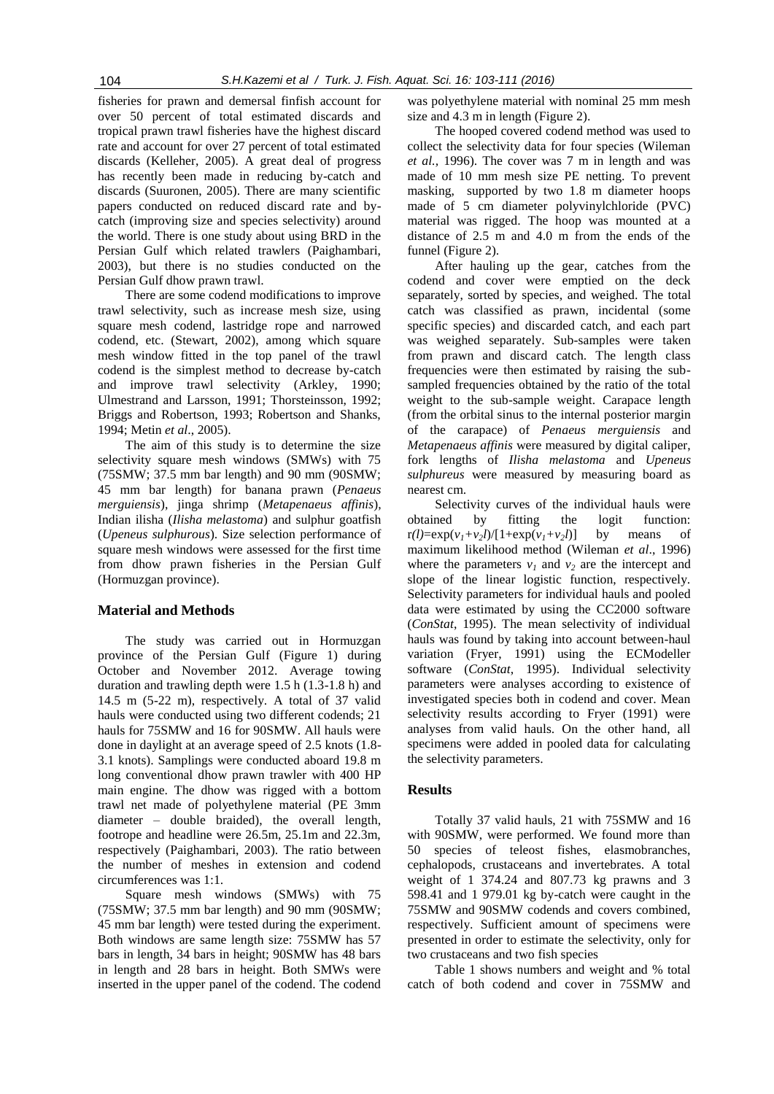fisheries for prawn and demersal finfish account for over 50 percent of total estimated discards and tropical prawn trawl fisheries have the highest discard rate and account for over 27 percent of total estimated discards (Kelleher, 2005). A great deal of progress has recently been made in reducing by-catch and discards (Suuronen, 2005). There are many scientific papers conducted on reduced discard rate and bycatch (improving size and species selectivity) around the world. There is one study about using BRD in the Persian Gulf which related trawlers (Paighambari, 2003), but there is no studies conducted on the Persian Gulf dhow prawn trawl.

There are some codend modifications to improve trawl selectivity, such as increase mesh size, using square mesh codend, lastridge rope and narrowed codend, etc. (Stewart, 2002), among which square mesh window fitted in the top panel of the trawl codend is the simplest method to decrease by-catch and improve trawl selectivity (Arkley, 1990; Ulmestrand and Larsson, 1991; Thorsteinsson, 1992; Briggs and Robertson, 1993; Robertson and Shanks, 1994; Metin *et al*., 2005).

The aim of this study is to determine the size selectivity square mesh windows (SMWs) with 75 (75SMW; 37.5 mm bar length) and 90 mm (90SMW; 45 mm bar length) for banana prawn (*Penaeus merguiensis*), jinga shrimp (*Metapenaeus affinis*), Indian ilisha (*Ilisha melastoma*) and sulphur goatfish (*Upeneus sulphurous*). Size selection performance of square mesh windows were assessed for the first time from dhow prawn fisheries in the Persian Gulf (Hormuzgan province).

### **Material and Methods**

The study was carried out in Hormuzgan province of the Persian Gulf (Figure 1) during October and November 2012. Average towing duration and trawling depth were 1.5 h (1.3-1.8 h) and 14.5 m (5-22 m), respectively. A total of 37 valid hauls were conducted using two different codends; 21 hauls for 75SMW and 16 for 90SMW. All hauls were done in daylight at an average speed of 2.5 knots (1.8- 3.1 knots). Samplings were conducted aboard 19.8 m long conventional dhow prawn trawler with 400 HP main engine. The dhow was rigged with a bottom trawl net made of polyethylene material (PE 3mm diameter – double braided), the overall length, footrope and headline were 26.5m, 25.1m and 22.3m, respectively (Paighambari, 2003). The ratio between the number of meshes in extension and codend circumferences was 1:1.

Square mesh windows (SMWs) with 75 (75SMW; 37.5 mm bar length) and 90 mm (90SMW; 45 mm bar length) were tested during the experiment. Both windows are same length size: 75SMW has 57 bars in length, 34 bars in height; 90SMW has 48 bars in length and 28 bars in height. Both SMWs were inserted in the upper panel of the codend. The codend was polyethylene material with nominal 25 mm mesh size and 4.3 m in length (Figure 2).

The hooped covered codend method was used to collect the selectivity data for four species (Wileman *et al.,* 1996). The cover was 7 m in length and was made of 10 mm mesh size PE netting. To prevent masking, supported by two 1.8 m diameter hoops made of 5 cm diameter polyvinylchloride (PVC) material was rigged. The hoop was mounted at a distance of 2.5 m and 4.0 m from the ends of the funnel (Figure 2).

After hauling up the gear, catches from the codend and cover were emptied on the deck separately, sorted by species, and weighed. The total catch was classified as prawn, incidental (some specific species) and discarded catch, and each part was weighed separately. Sub-samples were taken from prawn and discard catch. The length class frequencies were then estimated by raising the subsampled frequencies obtained by the ratio of the total weight to the sub-sample weight. Carapace length (from the orbital sinus to the internal posterior margin of the carapace) of *Penaeus merguiensis* and *Metapenaeus affinis* were measured by digital caliper, fork lengths of *Ilisha melastoma* and *Upeneus sulphureus* were measured by measuring board as nearest cm.

Selectivity curves of the individual hauls were obtained by fitting the logit function:  $r(l) = \exp(v_1 + v_2 l)/[1 + \exp(v_1 + v_2 l)]$  by means of maximum likelihood method (Wileman *et al*., 1996) where the parameters  $v_1$  and  $v_2$  are the intercept and slope of the linear logistic function, respectively. Selectivity parameters for individual hauls and pooled data were estimated by using the CC2000 software (*ConStat*, 1995). The mean selectivity of individual hauls was found by taking into account between-haul variation (Fryer, 1991) using the ECModeller software (*ConStat*, 1995). Individual selectivity parameters were analyses according to existence of investigated species both in codend and cover. Mean selectivity results according to Fryer (1991) were analyses from valid hauls. On the other hand, all specimens were added in pooled data for calculating the selectivity parameters.

### **Results**

Totally 37 valid hauls, 21 with 75SMW and 16 with 90SMW, were performed. We found more than 50 species of teleost fishes, elasmobranches, cephalopods, crustaceans and invertebrates. A total weight of 1 374.24 and 807.73 kg prawns and 3 598.41 and 1 979.01 kg by-catch were caught in the 75SMW and 90SMW codends and covers combined, respectively. Sufficient amount of specimens were presented in order to estimate the selectivity, only for two crustaceans and two fish species

Table 1 shows numbers and weight and % total catch of both codend and cover in 75SMW and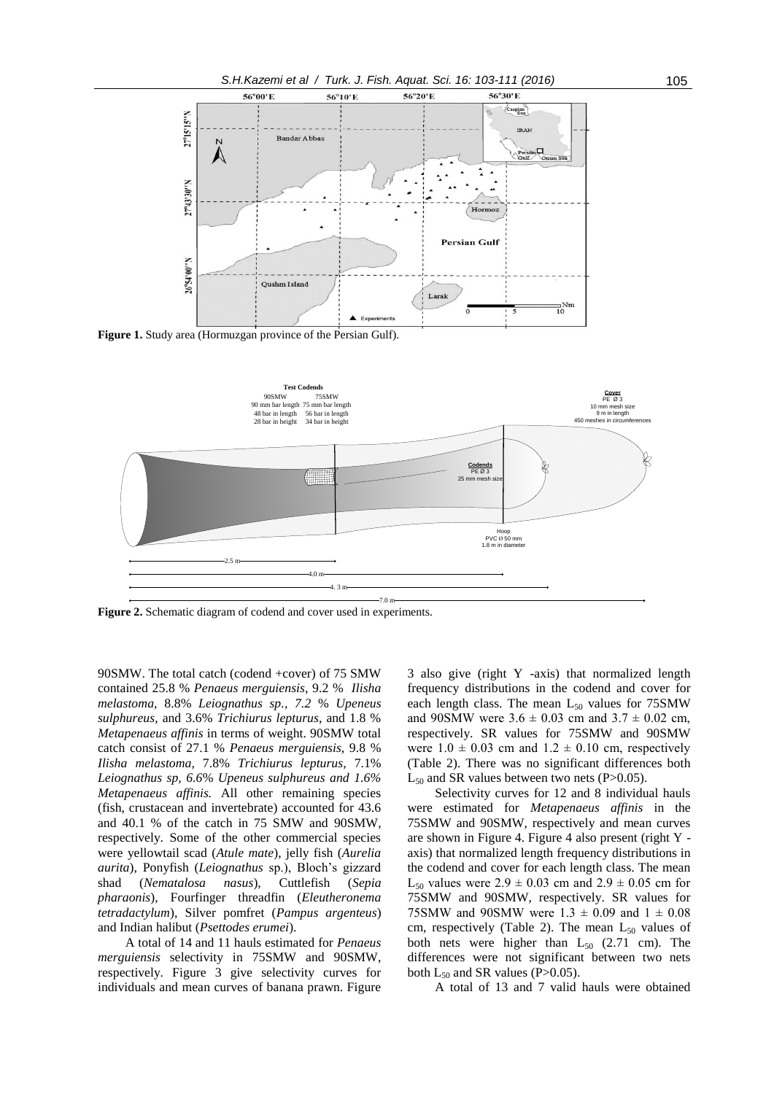

**Figure 1.** Study area (Hormuzgan province of the Persian Gulf).



**Figure 2.** Schematic diagram of codend and cover used in experiments.

90SMW. The total catch (codend +cover) of 75 SMW contained 25.8 % *Penaeus merguiensis*, 9.2 % *Ilisha melastoma,* 8.8% *Leiognathus sp., 7.2* % *Upeneus sulphureus,* and 3.6% *Trichiurus lepturus*, and 1.8 % *Metapenaeus affinis* in terms of weight. 90SMW total catch consist of 27.1 % *Penaeus merguiensis*, 9.8 % *Ilisha melastoma,* 7.8% *Trichiurus lepturus*, 7.1% *Leiognathus sp, 6.6*% *Upeneus sulphureus and 1.6% Metapenaeus affinis.* All other remaining species (fish, crustacean and invertebrate) accounted for 43.6 and 40.1 % of the catch in 75 SMW and 90SMW, respectively. Some of the other commercial species were yellowtail scad (*Atule mate*), jelly fish (*Aurelia aurita*), Ponyfish (Leiognathus sp.), Bloch's gizzard shad (*Nematalosa nasus*), Cuttlefish (*Sepia pharaonis*)*,* Fourfinger threadfin (*Eleutheronema tetradactylum*), Silver pomfret (*Pampus argenteus*) and Indian halibut (*Psettodes erumei*).

A total of 14 and 11 hauls estimated for *Penaeus merguiensis* selectivity in 75SMW and 90SMW, respectively. Figure 3 give selectivity curves for individuals and mean curves of banana prawn. Figure

3 also give (right Y -axis) that normalized length frequency distributions in the codend and cover for each length class. The mean  $L_{50}$  values for 75SMW and 90SMW were  $3.6 \pm 0.03$  cm and  $3.7 \pm 0.02$  cm, respectively. SR values for 75SMW and 90SMW were  $1.0 \pm 0.03$  cm and  $1.2 \pm 0.10$  cm, respectively (Table 2). There was no significant differences both  $L_{50}$  and SR values between two nets (P>0.05).

Selectivity curves for 12 and 8 individual hauls were estimated for *Metapenaeus affinis* in the 75SMW and 90SMW, respectively and mean curves are shown in Figure 4. Figure 4 also present (right Y axis) that normalized length frequency distributions in the codend and cover for each length class. The mean  $L_{50}$  values were  $2.9 \pm 0.03$  cm and  $2.9 \pm 0.05$  cm for 75SMW and 90SMW, respectively. SR values for 75SMW and 90SMW were  $1.3 \pm 0.09$  and  $1 \pm 0.08$ cm, respectively (Table 2). The mean  $L_{50}$  values of both nets were higher than  $L_{50}$  (2.71 cm). The differences were not significant between two nets both  $L_{50}$  and SR values (P>0.05).

A total of 13 and 7 valid hauls were obtained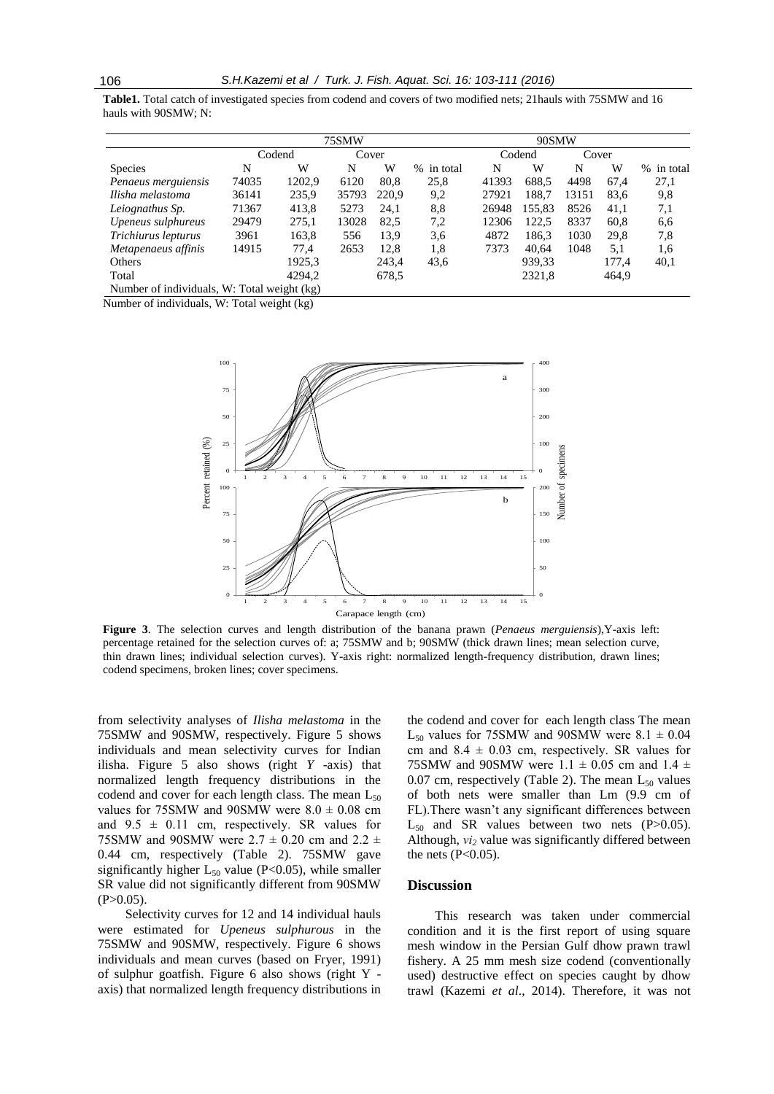**Table1.** Total catch of investigated species from codend and covers of two modified nets; 21hauls with 75SMW and 16 hauls with 90SMW; N:

|                                             |                                |        | 75SMW |       |                  |        |        |       |       |                  |
|---------------------------------------------|--------------------------------|--------|-------|-------|------------------|--------|--------|-------|-------|------------------|
|                                             |                                | Codend | Cover |       |                  | Codend |        | Cover |       |                  |
| <b>Species</b>                              | N                              | W      | N     | W     | $\%$<br>in total | N      | W      | N     | W     | $\%$<br>in total |
| Penaeus merguiensis                         | 74035                          | 1202.9 | 6120  | 80.8  | 25,8             | 41393  | 688.5  | 4498  | 67.4  | 27,1             |
| Ilisha melastoma                            | 36141                          | 235,9  | 35793 | 220.9 | 9,2              | 27921  | 188.7  | 13151 | 83,6  | 9,8              |
| Leiognathus Sp.                             | 71367<br>413.8<br>5273<br>24.1 |        | 8,8   | 26948 | 155,83           | 8526   | 41,1   | 7,1   |       |                  |
| Upeneus sulphureus                          | 29479                          | 275,1  | 13028 | 82.5  | 7,2              | 12306  | 122.5  | 8337  | 60.8  | 6,6              |
| Trichiurus lepturus                         | 3961                           | 163,8  | 556   | 13.9  | 3,6              | 4872   | 186.3  | 1030  | 29,8  | 7,8              |
| Metapenaeus affinis                         | 14915                          | 77.4   | 2653  | 12,8  | 1,8              | 7373   | 40.64  | 1048  | 5,1   | 1,6              |
| Others                                      |                                | 1925,3 |       | 243,4 | 43,6             |        | 939.33 |       | 177,4 | 40,1             |
| Total                                       |                                | 4294,2 |       | 678.5 |                  |        | 2321,8 |       | 464,9 |                  |
| Number of individuals, W: Total weight (kg) |                                |        |       |       |                  |        |        |       |       |                  |

Number of individuals, W: Total weight (kg)



**Figure 3**. The selection curves and length distribution of the banana prawn (*Penaeus merguiensis*),Y-axis left: percentage retained for the selection curves of: a; 75SMW and b; 90SMW (thick drawn lines; mean selection curve, thin drawn lines; individual selection curves). Y-axis right: normalized length-frequency distribution, drawn lines; codend specimens, broken lines; cover specimens.

from selectivity analyses of *Ilisha melastoma* in the 75SMW and 90SMW, respectively. Figure 5 shows individuals and mean selectivity curves for Indian ilisha. Figure 5 also shows (right *Y* -axis) that normalized length frequency distributions in the codend and cover for each length class. The mean  $L_{50}$ values for 75SMW and 90SMW were  $8.0 \pm 0.08$  cm and  $9.5 \pm 0.11$  cm, respectively. SR values for 75SMW and 90SMW were  $2.7 \pm 0.20$  cm and  $2.2 \pm$ 0.44 cm, respectively (Table 2). 75SMW gave significantly higher  $L_{50}$  value (P<0.05), while smaller SR value did not significantly different from 90SMW  $(P>0.05)$ .

Selectivity curves for 12 and 14 individual hauls were estimated for *Upeneus sulphurous* in the 75SMW and 90SMW, respectively. Figure 6 shows individuals and mean curves (based on Fryer, 1991) of sulphur goatfish. Figure 6 also shows (right Y axis) that normalized length frequency distributions in

the codend and cover for each length class The mean  $L_{50}$  values for 75SMW and 90SMW were 8.1  $\pm$  0.04 cm and  $8.4 \pm 0.03$  cm, respectively. SR values for 75SMW and 90SMW were  $1.1 \pm 0.05$  cm and  $1.4 \pm$ 0.07 cm, respectively (Table 2). The mean  $L_{50}$  values of both nets were smaller than Lm (9.9 cm of FL). There wasn't any significant differences between  $L_{50}$  and SR values between two nets (P $>0.05$ ). Although, *vi*<sub>2</sub> value was significantly differed between the nets  $(P<0.05)$ .

#### **Discussion**

This research was taken under commercial condition and it is the first report of using square mesh window in the Persian Gulf dhow prawn trawl fishery. A 25 mm mesh size codend (conventionally used) destructive effect on species caught by dhow trawl (Kazemi *et al*., 2014). Therefore, it was not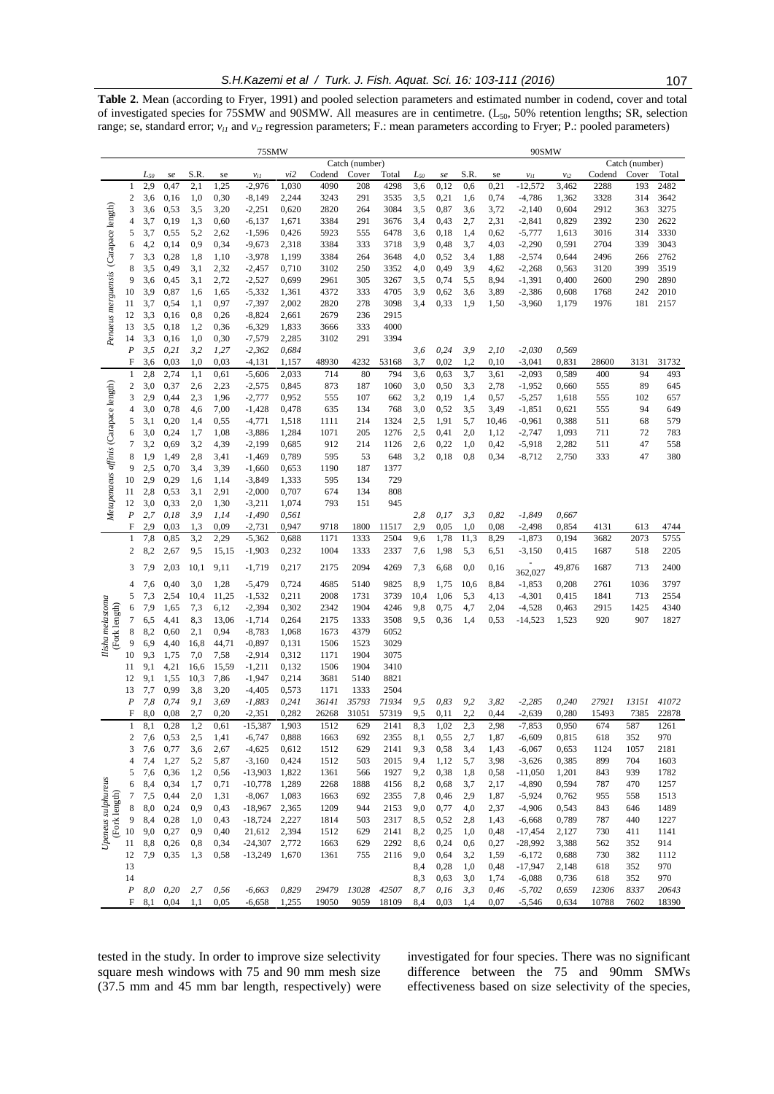**Table 2**. Mean (according to Fryer, 1991) and pooled selection parameters and estimated number in codend, cover and total of investigated species for 75SMW and 90SMW. All measures are in centimetre. (L<sub>50</sub>, 50% retention lengths; SR, selection range; se, standard error;  $v_{i1}$  and  $v_{i2}$  regression parameters; F.: mean parameters according to Fryer; P.: pooled parameters)

|                                       |                         | 75SMW          |              |            |              |           |                |               |               |                | 90SMW      |              |            |              |                      |                |              |             |       |
|---------------------------------------|-------------------------|----------------|--------------|------------|--------------|-----------|----------------|---------------|---------------|----------------|------------|--------------|------------|--------------|----------------------|----------------|--------------|-------------|-------|
|                                       |                         | Catch (number) |              |            |              |           |                |               |               | Catch (number) |            |              |            |              |                      |                |              |             |       |
|                                       |                         | $L_{50}$       | $\emph{se}$  | S.R.       | se           | $v_{iI}$  | vi2            | Codend        | Cover         | Total          | $L_{50}$   | $\emph{se}$  | S.R.       | se           | $v_{iI}$             | $v_{i2}$       | Codend       | Cover       | Total |
|                                       | 1                       | 2,9            | 0,47         | 2,1        | 1,25         | $-2,976$  | 1,030          | 4090          | 208           | 4298           | 3,6        | 0,12         | 0,6        | 0,21         | $-12,572$            | 3,462          | 2288         | 193         | 2482  |
|                                       | $\mathbf{2}$            | 3,6            | 0,16         | 1,0        | 0,30         | $-8,149$  | 2,244          | 3243          | 291           | 3535           | 3,5        | 0,21         | 1,6        | 0,74         | $-4,786$             | 1,362          | 3328         | 314         | 3642  |
|                                       | 3                       | 3,6            | 0,53         | 3,5        | 3,20         | $-2,251$  | 0,620          | 2820          | 264           | 3084           | 3,5        | 0,87         | 3,6        | 3,72         | $-2,140$             | 0,604          | 2912         | 363         | 3275  |
|                                       | 4                       | 3,7            | 0,19         | 1,3        | 0,60         | $-6,137$  | 1,671          | 3384          | 291           | 3676           | 3,4        | 0,43         | 2,7        | 2,31         | $-2,841$             | 0,829          | 2392         | 230         | 2622  |
|                                       | 5                       | 3,7            | 0,55         | 5,2        | 2,62         | $-1,596$  | 0,426          | 5923          | 555           | 6478           | 3,6        | 0,18         | 1,4        | 0,62         | $-5,777$             | 1,613          | 3016         | 314         | 3330  |
| (Carapace length)                     | 6                       | 4,2            | 0,14         | 0,9        | 0,34         | $-9,673$  | 2,318          | 3384          | 333           | 3718           | 3,9        | 0,48         | 3,7        | 4,03         | $-2,290$             | 0,591          | 2704         | 339         | 3043  |
|                                       |                         |                |              |            |              |           |                |               |               |                |            |              |            |              |                      |                |              |             |       |
|                                       | 7                       | 3,3            | 0,28         | 1,8        | 1,10         | $-3,978$  | 1,199          | 3384          | 264           | 3648           | 4,0        | 0,52         | 3,4        | 1,88         | $-2,574$             | 0,644          | 2496         | 266         | 2762  |
|                                       | 8                       | 3,5            | 0,49         | 3,1        | 2,32         | $-2,457$  | 0,710          | 3102          | 250           | 3352           | 4,0        | 0,49         | 3,9        | 4,62         | $-2,268$             | 0,563          | 3120         | 399         | 3519  |
|                                       | 9                       | 3,6            | 0,45         | 3,1        | 2,72         | $-2,527$  | 0,699          | 2961          | 305           | 3267           | 3,5        | 0,74         | 5,5        | 8,94         | $-1,391$             | 0,400          | 2600         | 290         | 2890  |
| Penaeus merguensis                    | 10                      | 3,9            | 0,87         | 1,6        | 1,65         | $-5,332$  | 1,361          | 4372          | 333           | 4705           | 3,9        | 0,62         | 3,6        | 3,89         | $-2,386$             | 0,608          | 1768         | 242         | 2010  |
|                                       | 11                      | 3,7            | 0,54         | 1,1        | 0,97         | $-7,397$  | 2,002          | 2820          | 278           | 3098           | 3,4        | 0,33         | 1,9        | 1,50         | $-3,960$             | 1,179          | 1976         | 181         | 2157  |
|                                       | 12                      | 3,3            | 0,16         | 0,8        | 0,26         | $-8,824$  | 2,661          | 2679          | 236           | 2915           |            |              |            |              |                      |                |              |             |       |
|                                       | 13                      | 3,5            | 0,18         | 1,2        | 0,36         | $-6,329$  | 1,833          | 3666          | 333           | 4000           |            |              |            |              |                      |                |              |             |       |
|                                       | 14                      | 3,3            | 0,16         | 1,0        | 0,30         | $-7,579$  | 2,285          | 3102          | 291           | 3394           |            |              |            |              |                      |                |              |             |       |
|                                       | $\boldsymbol{P}$        | 3,5            | 0,21         | 3,2        | 1,27         | $-2,362$  | 0,684          |               |               |                | 3,6        | 0,24         | 3,9        | 2,10         | $-2,030$             | 0,569          |              |             |       |
|                                       | F                       | 3,6            | 0,03         | 1,0        | 0,03         | $-4,131$  | 1,157          | 48930         | 4232          | 53168          | 3,7        | 0,02         | 1,2        | 0,10         | $-3,041$             | 0,831          | 28600        | 3131        | 31732 |
|                                       | $\mathbf{1}$            | 2,8            | 2,74         | 1,1        | 0,61         | $-5,606$  | 2,033          | 714           | 80            | 794            | 3,6        | 0,63         | 3,7        | 3,61         | $-2,093$             | 0,589          | 400          | 94          | 493   |
|                                       | $\mathbf{2}$            | 3,0            | 0,37         | 2,6        | 2,23         | $-2,575$  | 0,845          | 873           | 187           | 1060           | 3,0        | 0,50         | 3,3        | 2,78         | $-1,952$             | 0,660          | 555          | 89          | 645   |
|                                       | 3                       | 2,9            | 0,44         | 2,3        | 1,96         | $-2,777$  | 0,952          | 555           | 107           | 662            | 3,2        | 0,19         | 1,4        | 0,57         | $-5,257$             | 1,618          | 555          | 102         | 657   |
|                                       | 4                       | 3,0            | 0,78         | 4,6        | 7,00         | $-1,428$  | 0,478          | 635           | 134           | 768            | 3,0        | 0,52         | 3,5        | 3,49         | $-1,851$             | 0,621          | 555          | 94          | 649   |
|                                       | 5                       | 3,1            | 0,20         | 1,4        | 0,55         | $-4,771$  | 1,518          | 1111          | 214           | 1324           | 2,5        | 1,91         | 5,7        | 10,46        | $-0,961$             | 0,388          | 511          | 68          | 579   |
|                                       | 6                       | 3,0            | 0,24         | 1,7        | 1,08         | $-3,886$  | 1,284          | 1071          | 205           | 1276           | 2,5        | 0,41         | 2,0        | 1,12         | $-2,747$             | 1,093          | 711          | 72          | 783   |
|                                       | 7                       | 3,2            | 0,69         | 3,2        | 4,39         | $-2,199$  | 0,685          | 912           | 214           | 1126           | 2,6        | 0,22         | 1,0        | 0,42         | $-5,918$             | 2,282          | 511          | 47          | 558   |
|                                       |                         |                |              |            |              |           |                |               |               |                |            |              |            |              |                      |                |              |             |       |
|                                       | 8                       | 1,9            | 1,49         | 2,8        | 3,41         | $-1.469$  | 0,789          | 595           | 53            | 648            | 3,2        | 0,18         | 0,8        | 0,34         | $-8,712$             | 2,750          | 333          | 47          | 380   |
|                                       | 9                       | 2,5            | 0,70         | 3,4        | 3,39         | $-1,660$  | 0,653          | 1190          | 187           | 1377           |            |              |            |              |                      |                |              |             |       |
| Metapenaeus affinis (Carapace length) | 10                      | 2,9            | 0,29         | 1,6        | 1,14         | $-3,849$  | 1,333          | 595           | 134           | 729            |            |              |            |              |                      |                |              |             |       |
|                                       | 11                      | 2,8            | 0,53         | 3,1        | 2,91         | $-2,000$  | 0,707          | 674           | 134           | 808            |            |              |            |              |                      |                |              |             |       |
|                                       | 12                      | 3,0            | 0,33         | 2,0        | 1,30         | $-3,211$  | 1,074          | 793           | 151           | 945            |            |              |            |              |                      |                |              |             |       |
|                                       | P                       | 2,7            | 0,18         | 3,9        | 1,14         | $-1,490$  | 0,561          |               |               |                | 2,8        | 0,17         | 3,3        | 0,82         | $-1,849$             | 0,667          |              |             |       |
|                                       | F                       | 2,9            | 0,03         | 1,3        | 0,09         | $-2,731$  | 0,947          | 9718          | 1800          | 11517          | 2,9        | 0,05         | 1,0        | 0.08         | $-2,498$             | 0,854          | 4131         | 613         | 4744  |
|                                       | 1                       | 7,8            | 0,85         | 3,2        | 2,29         | $-5,362$  | 0,688          | 1171          | 1333          | 2504           | 9,6        | 1,78         | 11,3       | 8,29         | $-1,873$             | 0,194          | 3682         | 2073        | 5755  |
|                                       | $\mathbf{2}$            | 8,2            | 2,67         | 9,5        | 15,15        | $-1,903$  | 0,232          | 1004          | 1333          | 2337           | 7,6        | 1,98         | 5,3        | 6,51         | $-3,150$             | 0,415          | 1687         | 518         | 2205  |
|                                       | 3                       | 7,9            | 2,03         | 10,1       | 9,11         | $-1,719$  | 0,217          | 2175          | 2094          | 4269           | 7,3        | 6,68         | 0,0        | 0,16         |                      | 49,876         | 1687         | 713         | 2400  |
|                                       | 4                       | 7,6            | 0,40         | 3,0        | 1,28         | $-5,479$  | 0,724          | 4685          | 5140          | 9825           | 8,9        | 1,75         | 10,6       | 8,84         | 362,027<br>$-1,853$  | 0,208          | 2761         | 1036        | 3797  |
|                                       | 5                       | 7,3            | 2,54         | 10,4       | 11,25        | $-1,532$  | 0,211          | 2008          | 1731          | 3739           | 10,4       | 1,06         | 5,3        | 4,13         | $-4,301$             | 0,415          | 1841         | 713         | 2554  |
| Ilisha melastoma                      | 6                       | 7,9            | 1,65         | 7,3        | 6,12         | $-2,394$  | 0,302          | 2342          | 1904          | 4246           | 9,8        | 0,75         | 4,7        | 2,04         | $-4,528$             | 0,463          | 2915         | 1425        | 4340  |
|                                       | 7                       | 6,5            | 4,41         | 8,3        | 13,06        | $-1,714$  | 0,264          | 2175          | 1333          | 3508           | 9,5        | 0,36         | 1,4        | 0,53         | $-14,523$            | 1,523          | 920          | 907         | 1827  |
|                                       | 8                       | 8,2            | 0,60         | 2,1        | 0,94         | $-8,783$  | 1,068          | 1673          | 4379          | 6052           |            |              |            |              |                      |                |              |             |       |
| (Fork length)                         | 9                       | 6,9            | 4,40         | 16,8       | 44,71        | $-0,897$  |                |               | 1523          | 3029           |            |              |            |              |                      |                |              |             |       |
|                                       |                         |                |              |            |              |           | 0,131          | 1506          |               |                |            |              |            |              |                      |                |              |             |       |
|                                       | 10                      | 9,3            | 1,75         | 7,0        | 7,58         | $-2,914$  | 0,312          | 1171          | 1904          | 3075           |            |              |            |              |                      |                |              |             |       |
|                                       | 11                      | 9,1            | 4,21         | 16,6       | 15,59        | $-1,211$  | 0,132          | 1506          | 1904          | 3410           |            |              |            |              |                      |                |              |             |       |
|                                       | 12                      | 9,1            | 1,55         | 10,3       | 7,86         | $-1,947$  | 0,214          | 3681          | 5140          | 8821           |            |              |            |              |                      |                |              |             |       |
|                                       | 13                      | 7,7<br>7,8     | 0,99<br>0,74 | 3,8<br>9,1 | 3,20         | $-4,405$  | 0,573          | 1171          | 1333<br>35793 | 2504<br>71934  |            |              |            |              |                      |                |              | 13151       | 41072 |
|                                       | P<br>F                  |                |              |            | 3,69         | $-1,883$  | 0,241          | 36141         |               | 57319          | 9,5        | 0,83         | 9,2        | 3,82         | $-2,285$             | 0,240          | 27921        |             |       |
|                                       | 1                       | 8,0<br>8,1     | 0,08         | 2,7<br>1,2 | 0,20<br>0,61 | $-2,351$  | 0,282<br>1,903 | 26268<br>1512 | 31051<br>629  |                | 9,5<br>8,3 | 0,11<br>1,02 | 2,2<br>2,3 | 0,44<br>2,98 | $-2,639$<br>$-7,853$ | 0,280<br>0,950 | 15493<br>674 | 7385<br>587 | 22878 |
|                                       |                         |                | 0,28         |            |              | $-15,387$ |                |               |               | 2141           |            |              |            |              |                      |                |              |             | 1261  |
| Upeneus sulphureus<br>(Fork length)   | $\overline{\mathbf{c}}$ | 7,6            | 0,53         | 2,5        | 1,41         | -6,747    | 0,888          | 1663          | 692           | 2355           | 8,1        | 0,55         | 2,7        | 1,87         | $-6,609$             | 0,815          | 618          | 352         | 970   |
|                                       | 3                       | 7,6            | 0,77         | 3,6        | 2,67         | $-4,625$  | 0,612          | 1512          | 629           | 2141           | 9,3        | 0,58         | 3,4        | 1,43         | $-6,067$             | 0,653          | 1124         | 1057        | 2181  |
|                                       | 4                       | 7,4            | 1,27         | 5,2        | 5,87         | $-3,160$  | 0,424          | 1512          | 503           | 2015           | 9,4        | 1,12         | 5,7        | 3,98         | $-3,626$             | 0,385          | 899          | 704         | 1603  |
|                                       | 5                       | 7,6            | 0,36         | 1,2        | 0,56         | $-13,903$ | 1,822          | 1361          | 566           | 1927           | 9,2        | 0,38         | 1,8        | 0,58         | $-11,050$            | 1,201          | 843          | 939         | 1782  |
|                                       | 6                       | 8,4            | 0,34         | 1,7        | 0,71         | $-10,778$ | 1,289          | 2268          | 1888          | 4156           | 8,2        | 0,68         | 3,7        | 2,17         | $-4,890$             | 0,594          | 787          | 470         | 1257  |
|                                       | 7                       | 7,5            | 0,44         | 2,0        | 1,31         | $-8,067$  | 1,083          | 1663          | 692           | 2355           | 7,8        | 0,46         | 2,9        | 1,87         | $-5,924$             | 0,762          | 955          | 558         | 1513  |
|                                       | 8                       | 8,0            | 0,24         | 0,9        | 0,43         | $-18,967$ | 2,365          | 1209          | 944           | 2153           | 9,0        | 0,77         | 4,0        | 2,37         | $-4,906$             | 0,543          | 843          | 646         | 1489  |
|                                       | 9                       | 8,4            | 0,28         | 1,0        | 0,43         | $-18,724$ | 2,227          | 1814          | 503           | 2317           | 8,5        | 0,52         | 2,8        | 1,43         | $-6,668$             | 0,789          | 787          | 440         | 1227  |
|                                       | 10                      | 9,0            | 0,27         | 0,9        | 0,40         | 21,612    | 2,394          | 1512          | 629           | 2141           | 8,2        | 0,25         | 1,0        | 0,48         | $-17,454$            | 2,127          | 730          | 411         | 1141  |
|                                       | 11                      | 8,8            | 0,26         | $_{0,8}$   | 0,34         | $-24,307$ | 2,772          | 1663          | 629           | 2292           | 8,6        | 0,24         | 0,6        | 0,27         | $-28,992$            | 3,388          | 562          | 352         | 914   |
|                                       | 12                      | 7,9            | 0,35         | 1,3        | 0,58         | $-13,249$ | 1,670          | 1361          | 755           | 2116           | 9,0        | 0,64         | 3,2        | 1,59         | $-6,172$             | 0,688          | 730          | 382         | 1112  |
|                                       | 13                      |                |              |            |              |           |                |               |               |                | 8,4        | 0,28         | 1,0        | 0,48         | $-17,947$            | 2,148          | 618          | 352         | 970   |
|                                       | 14                      |                |              |            |              |           |                |               |               |                | 8,3        | 0,63         | 3,0        | 1,74         | $-6,088$             | 0,736          | 618          | 352         | 970   |
|                                       | P                       | 8,0            | 0,20         | 2,7        | 0,56         | $-6,663$  | 0,829          | 29479         | 13028         | 42507          | 8,7        | 0,16         | 3,3        | 0,46         | $-5,702$             | 0,659          | 12306        | 8337        | 20643 |
|                                       | F                       |                | 8,1 0,04     | 1,1        | 0,05         | $-6,658$  | 1,255          | 19050         | 9059          | 18109          | 8,4        | 0,03         | 1,4        | 0,07         | $-5,546$             | 0,634          | 10788        | 7602        | 18390 |

tested in the study. In order to improve size selectivity square mesh windows with 75 and 90 mm mesh size (37.5 mm and 45 mm bar length, respectively) were investigated for four species. There was no significant difference between the 75 and 90mm SMWs effectiveness based on size selectivity of the species,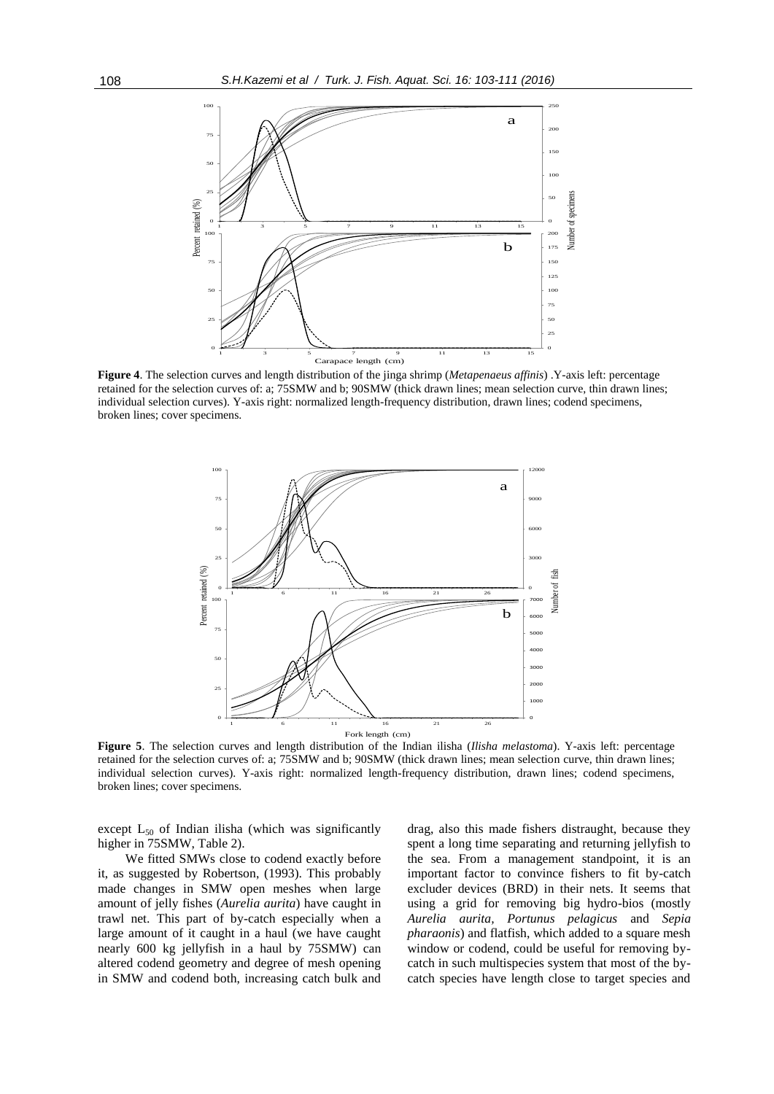

**Figure 4**. The selection curves and length distribution of the jinga shrimp (*Metapenaeus affinis*) .Y-axis left: percentage retained for the selection curves of: a; 75SMW and b; 90SMW (thick drawn lines; mean selection curve, thin drawn lines; individual selection curves). Y-axis right: normalized length-frequency distribution, drawn lines; codend specimens, broken lines; cover specimens.



**Figure 5**. The selection curves and length distribution of the Indian ilisha (*Ilisha melastoma*). Y-axis left: percentage retained for the selection curves of: a; 75SMW and b; 90SMW (thick drawn lines; mean selection curve, thin drawn lines; individual selection curves). Y-axis right: normalized length-frequency distribution, drawn lines; codend specimens, broken lines; cover specimens.

except  $L_{50}$  of Indian ilisha (which was significantly higher in 75SMW, Table 2).

We fitted SMWs close to codend exactly before it, as suggested by Robertson, (1993). This probably made changes in SMW open meshes when large amount of jelly fishes (*Aurelia aurita*) have caught in trawl net. This part of by-catch especially when a large amount of it caught in a haul (we have caught nearly 600 kg jellyfish in a haul by 75SMW) can altered codend geometry and degree of mesh opening in SMW and codend both, increasing catch bulk and

drag, also this made fishers distraught, because they spent a long time separating and returning jellyfish to the sea. From a management standpoint, it is an important factor to convince fishers to fit by-catch excluder devices (BRD) in their nets. It seems that using a grid for removing big hydro-bios (mostly *Aurelia aurita, Portunus pelagicus* and *Sepia pharaonis*) and flatfish, which added to a square mesh window or codend, could be useful for removing bycatch in such multispecies system that most of the bycatch species have length close to target species and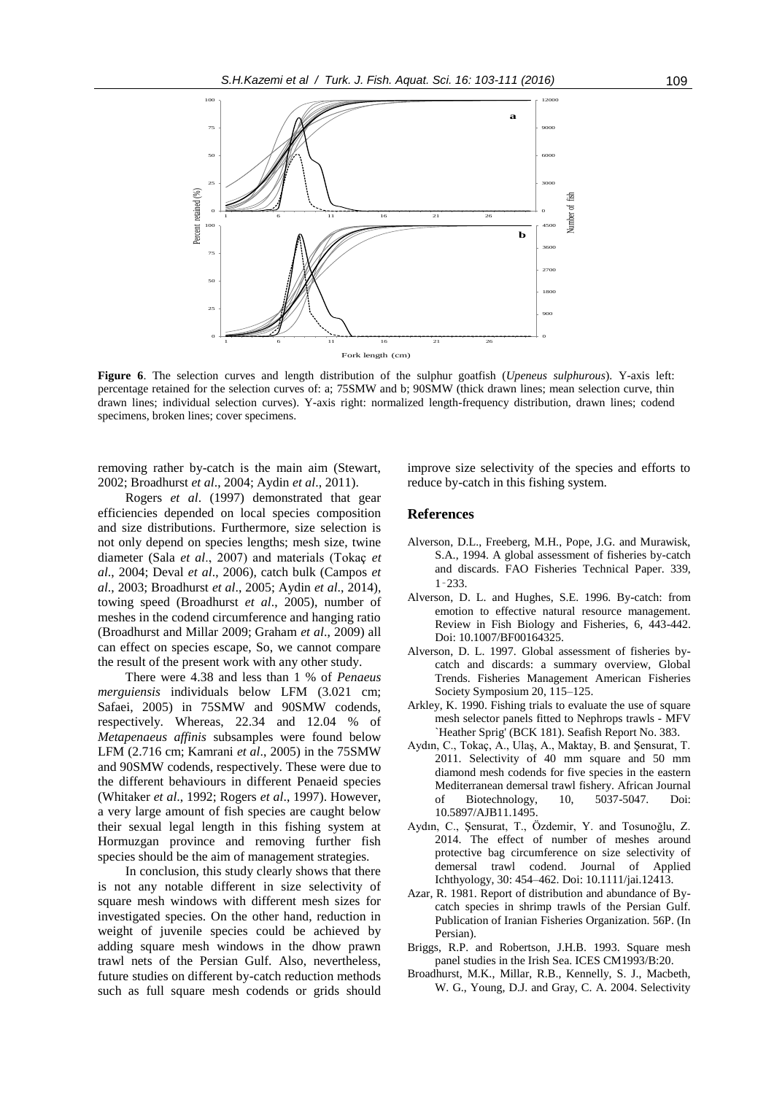

**Figure 6**. The selection curves and length distribution of the sulphur goatfish (*Upeneus sulphurous*). Y-axis left: percentage retained for the selection curves of: a; 75SMW and b; 90SMW (thick drawn lines; mean selection curve, thin drawn lines; individual selection curves). Y-axis right: normalized length-frequency distribution, drawn lines; codend specimens, broken lines; cover specimens.

removing rather by-catch is the main aim (Stewart, 2002; Broadhurst *et al*., 2004; Aydin *et al*., 2011).

Rogers *et al*. (1997) demonstrated that gear efficiencies depended on local species composition and size distributions. Furthermore, size selection is not only depend on species lengths; mesh size, twine diameter (Sala *et al.*, 2007) and materials (Tokaç *et al*., 2004; Deval *et al*., 2006), catch bulk (Campos *et al*., 2003; Broadhurst *et al*., 2005; Aydin *et al*., 2014), towing speed (Broadhurst *et al*., 2005), number of meshes in the codend circumference and hanging ratio (Broadhurst and Millar 2009; Graham *et al*., 2009) all can effect on species escape, So, we cannot compare the result of the present work with any other study.

There were 4.38 and less than 1 % of *Penaeus merguiensis* individuals below LFM (3.021 cm; Safaei, 2005) in 75SMW and 90SMW codends, respectively. Whereas, 22.34 and 12.04 % of *Metapenaeus affinis* subsamples were found below LFM (2.716 cm; Kamrani *et al*., 2005) in the 75SMW and 90SMW codends, respectively. These were due to the different behaviours in different Penaeid species (Whitaker *et al*., 1992; Rogers *et al*., 1997). However, a very large amount of fish species are caught below their sexual legal length in this fishing system at Hormuzgan province and removing further fish species should be the aim of management strategies.

In conclusion, this study clearly shows that there is not any notable different in size selectivity of square mesh windows with different mesh sizes for investigated species. On the other hand, reduction in weight of juvenile species could be achieved by adding square mesh windows in the dhow prawn trawl nets of the Persian Gulf. Also, nevertheless, future studies on different by-catch reduction methods such as full square mesh codends or grids should

improve size selectivity of the species and efforts to reduce by-catch in this fishing system.

#### **References**

- Alverson, D.L., Freeberg, M.H., Pope, J.G. and Murawisk, S.A., 1994. A global assessment of fisheries by-catch and discards. FAO Fisheries Technical Paper. 339, 1‑233.
- Alverson, D. L. and Hughes, S.E. 1996. By-catch: from emotion to effective natural resource management. Review in Fish Biology and Fisheries, 6, 443-442. Doi: 10.1007/BF00164325.
- Alverson, D. L. 1997. Global assessment of fisheries bycatch and discards: a summary overview, Global Trends. Fisheries Management American Fisheries Society Symposium 20, 115–125.
- Arkley, K. 1990. Fishing trials to evaluate the use of square mesh selector panels fitted to Nephrops trawls - MFV `Heather Sprig' (BCK 181). Seafish Report No. 383.
- Aydın, C., Tokaç, A., Ulaş, A., Maktay, B. and Şensurat, T. 2011. Selectivity of 40 mm square and 50 mm diamond mesh codends for five species in the eastern Mediterranean demersal trawl fishery. African Journal of Biotechnology, 10, 5037-5047. Doi: 10.5897/AJB11.1495.
- Aydın, C., Şensurat, T., Özdemir, Y. and Tosunoğlu, Z. 2014. The effect of number of meshes around protective bag circumference on size selectivity of demersal trawl codend. Journal of Applied Ichthyology, 30: 454–462. Doi: 10.1111/jai.12413.
- Azar, R. 1981. Report of distribution and abundance of Bycatch species in shrimp trawls of the Persian Gulf. Publication of Iranian Fisheries Organization. 56P. (In Persian).
- Briggs, R.P. and Robertson, J.H.B. 1993. Square mesh panel studies in the Irish Sea. ICES CM1993/B:20.
- Broadhurst, M.K., Millar, R.B., Kennelly, S. J., Macbeth, W. G., Young, D.J. and Gray, C. A. 2004. Selectivity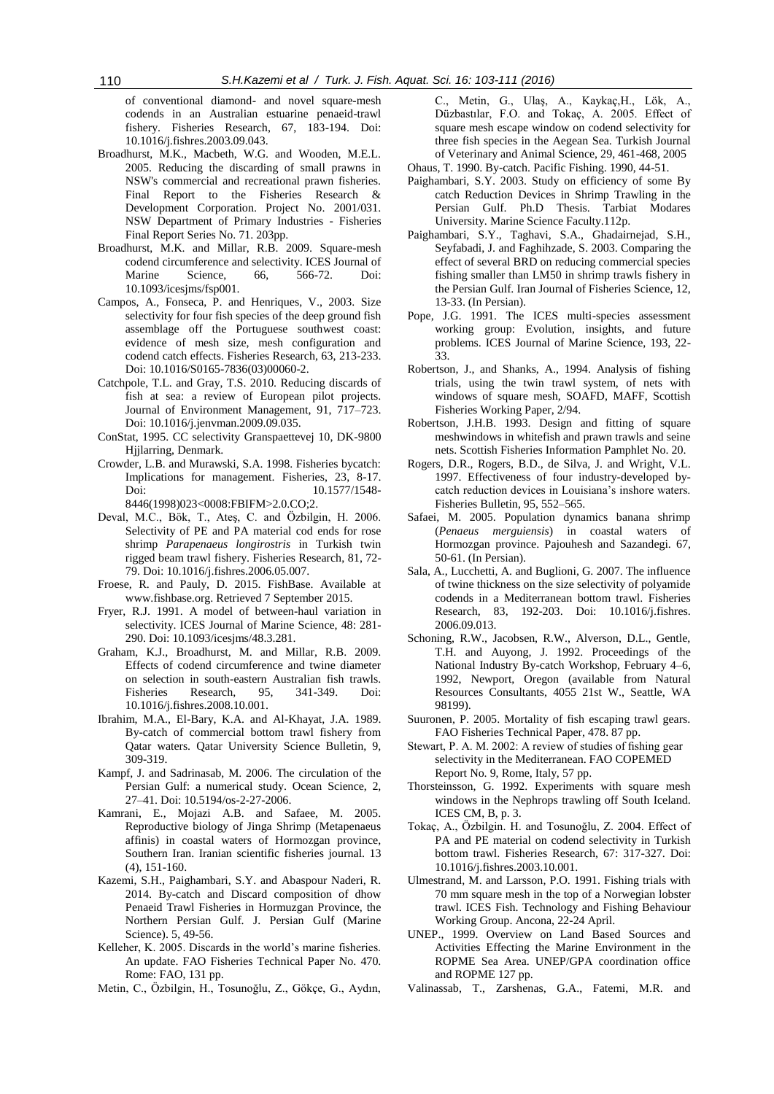of conventional diamond- and novel square-mesh codends in an Australian estuarine penaeid-trawl fishery. Fisheries Research, 67, 183-194. Doi: 10.1016/j.fishres.2003.09.043.

- Broadhurst, M.K., Macbeth, W.G. and Wooden, M.E.L. 2005. Reducing the discarding of small prawns in NSW's commercial and recreational prawn fisheries. Final Report to the Fisheries Research & Development Corporation. Project No. 2001/031. NSW Department of Primary Industries - Fisheries Final Report Series No. 71. 203pp.
- Broadhurst, M.K. and Millar, R.B. 2009. Square-mesh codend circumference and selectivity. ICES Journal of Marine Science, 66, 566-72. Doi: 10.1093/icesjms/fsp001.
- Campos, A., Fonseca, P. and Henriques, V., 2003. Size selectivity for four fish species of the deep ground fish assemblage off the Portuguese southwest coast: evidence of mesh size, mesh configuration and codend catch effects. Fisheries Research, 63, 213-233. Doi: 10.1016/S0165-7836(03)00060-2.
- Catchpole, T.L. and Gray, T.S. 2010. Reducing discards of fish at sea: a review of European pilot projects. Journal of Environment Management, 91, 717–723. Doi: 10.1016/j.jenvman.2009.09.035.
- ConStat, 1995. CC selectivity Granspaettevej 10, DK-9800 Hjjlarring, Denmark.
- Crowder, L.B. and Murawski, S.A. 1998. Fisheries bycatch: Implications for management. Fisheries, 23, 8-17. Doi: 10.1577/1548- 8446(1998)023<0008:FBIFM>2.0.CO;2.
- Deval, M.C., Bök, T., Ateş, C. and Özbilgin, H. 2006. Selectivity of PE and PA material cod ends for rose shrimp *Parapenaeus longirostris* in Turkish twin rigged beam trawl fishery. Fisheries Research, 81, 72- 79. Doi: 10.1016/j.fishres.2006.05.007.
- Froese, R. and Pauly, D. 2015. FishBase. Available at www.fishbase.org. Retrieved 7 September 2015.
- Fryer, R.J. 1991. A model of between-haul variation in selectivity. ICES Journal of Marine Science, 48: 281- 290. Doi: 10.1093/icesjms/48.3.281.
- Graham, K.J., Broadhurst, M. and Millar, R.B. 2009. Effects of codend circumference and twine diameter on selection in south-eastern Australian fish trawls. Fisheries Research, 95, 341-349. Doi: 10.1016/j.fishres.2008.10.001.
- Ibrahim, M.A., El-Bary, K.A. and Al-Khayat, J.A. 1989. By-catch of commercial bottom trawl fishery from Qatar waters. Qatar University Science Bulletin, 9, 309-319.
- Kampf, J. and Sadrinasab, M. 2006. The circulation of the Persian Gulf: a numerical study. Ocean Science, 2, 27–41. Doi: 10.5194/os-2-27-2006.
- Kamrani, E., Mojazi A.B. and Safaee, M. 2005. Reproductive biology of Jinga Shrimp (Metapenaeus affinis) in coastal waters of Hormozgan province, Southern Iran. Iranian scientific fisheries journal. 13 (4), 151-160.
- Kazemi, S.H., Paighambari, S.Y. and Abaspour Naderi, R. 2014. By-catch and Discard composition of dhow Penaeid Trawl Fisheries in Hormuzgan Province, the Northern Persian Gulf. J. Persian Gulf (Marine Science). 5, 49-56.
- Kelleher, K. 2005. Discards in the world's marine fisheries. An update. FAO Fisheries Technical Paper No. 470. Rome: FAO, 131 pp.
- Metin, C., Özbilgin, H., Tosunoğlu, Z., Gökçe, G., Aydın,

C., Metin, G., Ulaş, A., Kaykaç, H., Lök, A., Düzbastılar, F.O. and Tokaç, A. 2005. Effect of square mesh escape window on codend selectivity for three fish species in the Aegean Sea. Turkish Journal of Veterinary and Animal Science, 29, 461-468, 2005

- Ohaus, T. 1990. By-catch. Pacific Fishing. 1990, 44-51.
- Paighambari, S.Y. 2003. Study on efficiency of some By catch Reduction Devices in Shrimp Trawling in the Persian Gulf. Ph.D Thesis. Tarbiat Modares University. Marine Science Faculty.112p.
- Paighambari, S.Y., Taghavi, S.A., Ghadairnejad, S.H., Seyfabadi, J. and Faghihzade, S. 2003. Comparing the effect of several BRD on reducing commercial species fishing smaller than LM50 in shrimp trawls fishery in the Persian Gulf. Iran Journal of Fisheries Science, 12, 13-33. (In Persian).
- Pope, J.G. 1991. The ICES multi-species assessment working group: Evolution, insights, and future problems. ICES Journal of Marine Science, 193, 22- 33.
- Robertson, J., and Shanks, A., 1994. Analysis of fishing trials, using the twin trawl system, of nets with windows of square mesh, SOAFD, MAFF, Scottish Fisheries Working Paper, 2/94.
- Robertson, J.H.B. 1993. Design and fitting of square meshwindows in whitefish and prawn trawls and seine nets. Scottish Fisheries Information Pamphlet No. 20.
- Rogers, D.R., Rogers, B.D., de Silva, J. and Wright, V.L. 1997. Effectiveness of four industry-developed by catch reduction devices in Louisiana's inshore waters. Fisheries Bulletin, 95, 552–565.
- Safaei, M. 2005. Population dynamics banana shrimp (*Penaeus merguiensis*) in coastal waters of Hormozgan province. Pajouhesh and Sazandegi. 67, 50-61. (In Persian).
- Sala, A., Lucchetti, A. and Buglioni, G. 2007. The influence of twine thickness on the size selectivity of polyamide codends in a Mediterranean bottom trawl. Fisheries Research, 83, 192-203. Doi: 10.1016/j.fishres. 2006.09.013.
- Schoning, R.W., Jacobsen, R.W., Alverson, D.L., Gentle, T.H. and Auyong, J. 1992. Proceedings of the National Industry By-catch Workshop, February 4–6, 1992, Newport, Oregon (available from Natural Resources Consultants, 4055 21st W., Seattle, WA 98199).
- Suuronen, P. 2005. Mortality of fish escaping trawl gears. FAO Fisheries Technical Paper, 478. 87 pp.
- Stewart, P. A. M. 2002: A review of studies of fishing gear selectivity in the Mediterranean. FAO COPEMED Report No. 9, Rome, Italy, 57 pp.
- Thorsteinsson, G. 1992. Experiments with square mesh windows in the Nephrops trawling off South Iceland. ICES CM, B, p. 3.
- Tokaç, A., Özbilgin. H. and Tosunoğlu, Z. 2004. Effect of PA and PE material on codend selectivity in Turkish bottom trawl. Fisheries Research, 67: 317-327. Doi: 10.1016/j.fishres.2003.10.001.
- Ulmestrand, M. and Larsson, P.O. 1991. Fishing trials with 70 mm square mesh in the top of a Norwegian lobster trawl. ICES Fish. Technology and Fishing Behaviour Working Group. Ancona, 22-24 April.
- UNEP., 1999. Overview on Land Based Sources and Activities Effecting the Marine Environment in the ROPME Sea Area. UNEP/GPA coordination office and ROPME 127 pp.
- Valinassab, T., Zarshenas, G.A., Fatemi, M.R. and